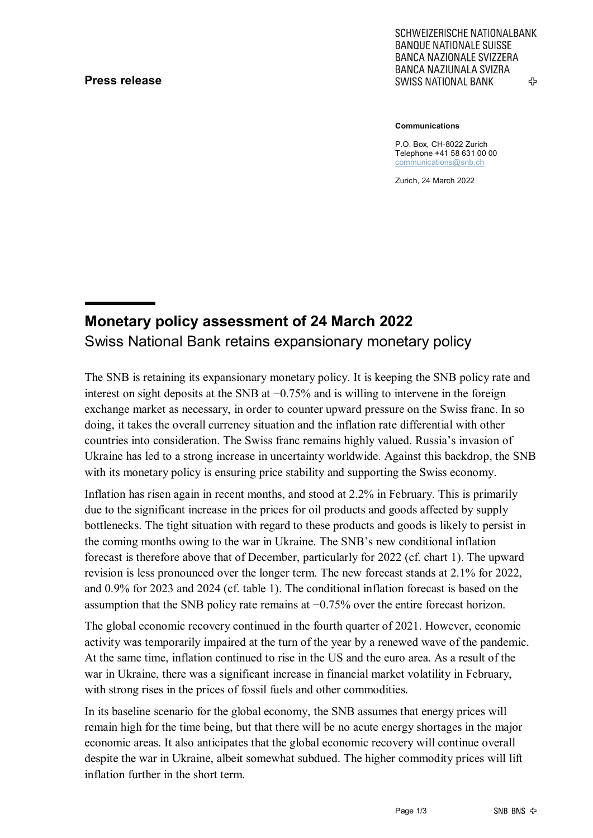## **Press release**

SCHWEIZERISCHE NATIONALBANK **BANQUE NATIONALE SUISSE BANCA NAZIONALE SVIZZERA** BANCA NAZIUNALA SVIZRA ሩን **SWISS NATIONAL BANK** 

#### **Communications**

P.O. Box, CH-8022 Zurich Telephone +41 58 631 00 00 [communications@snb.ch](mailto:communications@snb.ch)

Zurich, 24 March 2022

# **Monetary policy assessment of 24 March 2022** Swiss National Bank retains expansionary monetary policy

The SNB is retaining its expansionary monetary policy. It is keeping the SNB policy rate and interest on sight deposits at the SNB at −0.75% and is willing to intervene in the foreign exchange market as necessary, in order to counter upward pressure on the Swiss franc. In so doing, it takes the overall currency situation and the inflation rate differential with other countries into consideration. The Swiss franc remains highly valued. Russia's invasion of Ukraine has led to a strong increase in uncertainty worldwide. Against this backdrop, the SNB with its monetary policy is ensuring price stability and supporting the Swiss economy.

Inflation has risen again in recent months, and stood at 2.2% in February. This is primarily due to the significant increase in the prices for oil products and goods affected by supply bottlenecks. The tight situation with regard to these products and goods is likely to persist in the coming months owing to the war in Ukraine. The SNB's new conditional inflation forecast is therefore above that of December, particularly for 2022 (cf. chart 1). The upward revision is less pronounced over the longer term. The new forecast stands at 2.1% for 2022, and 0.9% for 2023 and 2024 (cf. table 1). The conditional inflation forecast is based on the assumption that the SNB policy rate remains at −0.75% over the entire forecast horizon.

The global economic recovery continued in the fourth quarter of 2021. However, economic activity was temporarily impaired at the turn of the year by a renewed wave of the pandemic. At the same time, inflation continued to rise in the US and the euro area. As a result of the war in Ukraine, there was a significant increase in financial market volatility in February, with strong rises in the prices of fossil fuels and other commodities.

In its baseline scenario for the global economy, the SNB assumes that energy prices will remain high for the time being, but that there will be no acute energy shortages in the major economic areas. It also anticipates that the global economic recovery will continue overall despite the war in Ukraine, albeit somewhat subdued. The higher commodity prices will lift inflation further in the short term.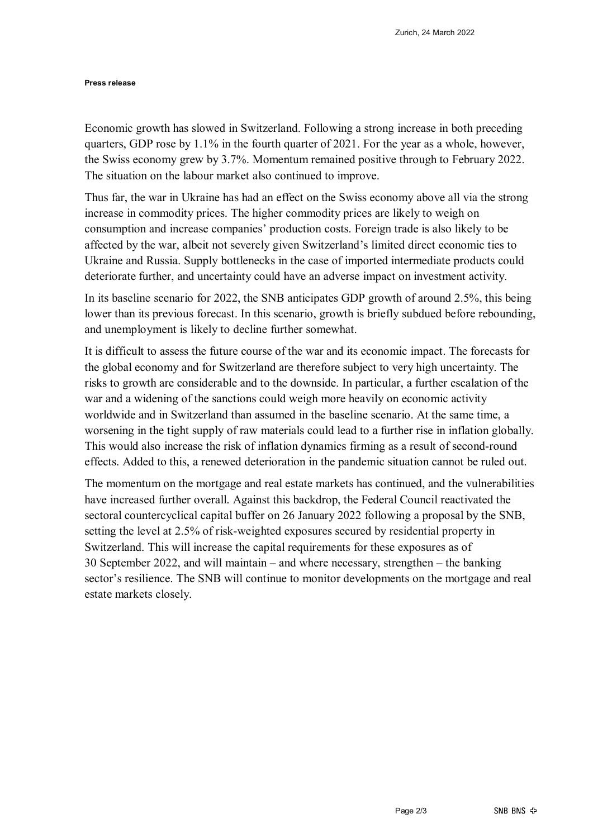#### **Press release**

Economic growth has slowed in Switzerland. Following a strong increase in both preceding quarters, GDP rose by 1.1% in the fourth quarter of 2021. For the year as a whole, however, the Swiss economy grew by 3.7%. Momentum remained positive through to February 2022. The situation on the labour market also continued to improve.

Thus far, the war in Ukraine has had an effect on the Swiss economy above all via the strong increase in commodity prices. The higher commodity prices are likely to weigh on consumption and increase companies' production costs. Foreign trade is also likely to be affected by the war, albeit not severely given Switzerland's limited direct economic ties to Ukraine and Russia. Supply bottlenecks in the case of imported intermediate products could deteriorate further, and uncertainty could have an adverse impact on investment activity.

In its baseline scenario for 2022, the SNB anticipates GDP growth of around 2.5%, this being lower than its previous forecast. In this scenario, growth is briefly subdued before rebounding, and unemployment is likely to decline further somewhat.

It is difficult to assess the future course of the war and its economic impact. The forecasts for the global economy and for Switzerland are therefore subject to very high uncertainty. The risks to growth are considerable and to the downside. In particular, a further escalation of the war and a widening of the sanctions could weigh more heavily on economic activity worldwide and in Switzerland than assumed in the baseline scenario. At the same time, a worsening in the tight supply of raw materials could lead to a further rise in inflation globally. This would also increase the risk of inflation dynamics firming as a result of second-round effects. Added to this, a renewed deterioration in the pandemic situation cannot be ruled out.

The momentum on the mortgage and real estate markets has continued, and the vulnerabilities have increased further overall. Against this backdrop, the Federal Council reactivated the sectoral countercyclical capital buffer on 26 January 2022 following a proposal by the SNB, setting the level at 2.5% of risk-weighted exposures secured by residential property in Switzerland. This will increase the capital requirements for these exposures as of 30 September 2022, and will maintain – and where necessary, strengthen – the banking sector's resilience. The SNB will continue to monitor developments on the mortgage and real estate markets closely.